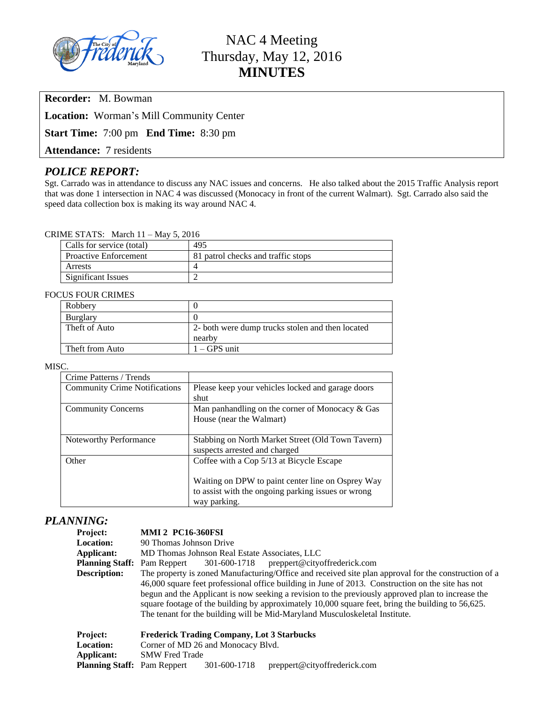

# NAC 4 Meeting Thursday, May 12, 2016 **MINUTES**

**Recorder:** M. Bowman

**Location:** Worman's Mill Community Center

**Start Time:** 7:00 pm **End Time:** 8:30 pm

**Attendance:** 7 residents

# *POLICE REPORT:*

Sgt. Carrado was in attendance to discuss any NAC issues and concerns. He also talked about the 2015 Traffic Analysis report that was done 1 intersection in NAC 4 was discussed (Monocacy in front of the current Walmart). Sgt. Carrado also said the speed data collection box is making its way around NAC 4.

#### CRIME STATS: March 11 – May 5, 2016

| Calls for service (total)    | 495                                |
|------------------------------|------------------------------------|
| <b>Proactive Enforcement</b> | 81 patrol checks and traffic stops |
| Arrests                      |                                    |
| Significant Issues           |                                    |

#### FOCUS FOUR CRIMES

| Robbery         |                                                  |
|-----------------|--------------------------------------------------|
| Burglary        |                                                  |
| Theft of Auto   | 2- both were dump trucks stolen and then located |
|                 | nearby                                           |
| Theft from Auto | $1 - GPS$ unit                                   |

#### MISC.

| Crime Patterns / Trends              |                                                    |  |
|--------------------------------------|----------------------------------------------------|--|
| <b>Community Crime Notifications</b> | Please keep your vehicles locked and garage doors  |  |
|                                      | shut                                               |  |
| <b>Community Concerns</b>            | Man panhandling on the corner of Monocacy & Gas    |  |
|                                      | House (near the Walmart)                           |  |
|                                      |                                                    |  |
| Noteworthy Performance               | Stabbing on North Market Street (Old Town Tavern)  |  |
|                                      | suspects arrested and charged                      |  |
| Other                                | Coffee with a Cop 5/13 at Bicycle Escape           |  |
|                                      |                                                    |  |
|                                      | Waiting on DPW to paint center line on Osprey Way  |  |
|                                      | to assist with the ongoing parking issues or wrong |  |
|                                      | way parking.                                       |  |

# *PLANNING:*

# **Project: MMI 2 PC16-360FSI**

Location: 90 Thomas Johnson Drive **Applicant:** MD Thomas Johnson Real Estate Associates, LLC<br> **Planning Staff:** Pam Reppert 301-600-1718 preppert@cityoffrederick.com **Planning Staff:** Pam Reppert 301-600-1718 **Description:** The property is zoned Manufacturing/Office and received site plan approval for the construction of a 46,000 square feet professional office building in June of 2013. Construction on the site has not begun and the Applicant is now seeking a revision to the previously approved plan to increase the square footage of the building by approximately 10,000 square feet, bring the building to 56,625. The tenant for the building will be Mid-Maryland Musculoskeletal Institute.

| <b>Project:</b>                    | <b>Frederick Trading Company, Lot 3 Starbucks</b> |              |                              |
|------------------------------------|---------------------------------------------------|--------------|------------------------------|
| <b>Location:</b>                   | Corner of MD 26 and Monocacy Blvd.                |              |                              |
| Applicant:                         | <b>SMW</b> Fred Trade                             |              |                              |
| <b>Planning Staff:</b> Pam Reppert |                                                   | 301-600-1718 | preppert@cityoffrederick.com |